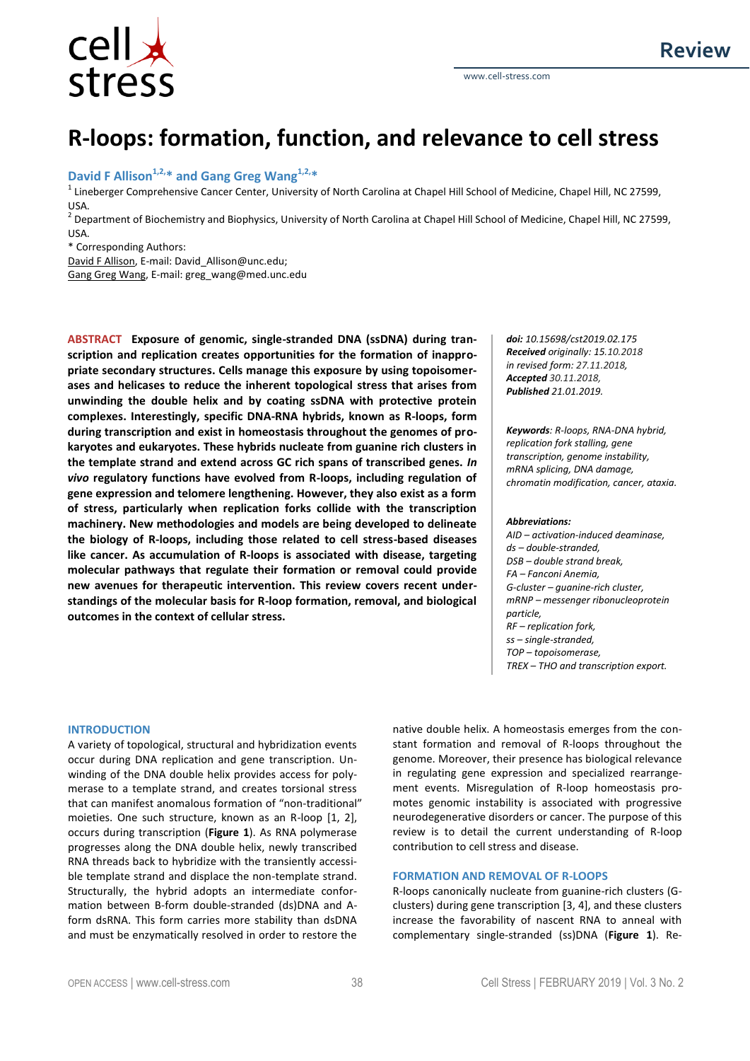

# **R-loops: formation, function, and relevance to cell stress**

# **David F Allison1,2,\* and Gang Greg Wang1,2,\***

<sup>1</sup> Lineberger Comprehensive Cancer Center, University of North Carolina at Chapel Hill School of Medicine, Chapel Hill, NC 27599, USA.

<sup>2</sup> Department of Biochemistry and Biophysics, University of North Carolina at Chapel Hill School of Medicine, Chapel Hill, NC 27599, USA.

\* Corresponding Authors:

David F Allison, E-mail: David\_Allison@unc.edu;

Gang Greg Wang, E-mail: greg\_wang@med.unc.edu

**ABSTRACT Exposure of genomic, single-stranded DNA (ssDNA) during transcription and replication creates opportunities for the formation of inappropriate secondary structures. Cells manage this exposure by using topoisomerases and helicases to reduce the inherent topological stress that arises from unwinding the double helix and by coating ssDNA with protective protein complexes. Interestingly, specific DNA-RNA hybrids, known as R-loops, form during transcription and exist in homeostasis throughout the genomes of prokaryotes and eukaryotes. These hybrids nucleate from guanine rich clusters in the template strand and extend across GC rich spans of transcribed genes.** *In vivo* **regulatory functions have evolved from R-loops, including regulation of gene expression and telomere lengthening. However, they also exist as a form of stress, particularly when replication forks collide with the transcription machinery. New methodologies and models are being developed to delineate the biology of R-loops, including those related to cell stress-based diseases like cancer. As accumulation of R-loops is associated with disease, targeting molecular pathways that regulate their formation or removal could provide new avenues for therapeutic intervention. This review covers recent understandings of the molecular basis for R-loop formation, removal, and biological outcomes in the context of cellular stress.**

*doi: 10.15698/cst2019.02.175 Received originally: 15.10.2018 in revised form: 27.11.2018, Accepted 30.11.2018, Published 21.01.2019.*

*Keywords: R-loops, RNA-DNA hybrid, replication fork stalling, gene transcription, genome instability, mRNA splicing, DNA damage, chromatin modification, cancer, ataxia.*

#### *Abbreviations:*

*AID – activation-induced deaminase, ds – double-stranded, DSB – double strand break, FA – Fanconi Anemia, G-cluster – guanine-rich cluster, mRNP – messenger ribonucleoprotein particle, RF – replication fork, ss – single-stranded, TOP – topoisomerase, TREX – THO and transcription export.*

### **INTRODUCTION**

A variety of topological, structural and hybridization events occur during DNA replication and gene transcription. Unwinding of the DNA double helix provides access for polymerase to a template strand, and creates torsional stress that can manifest anomalous formation of "non-traditional" moieties. One such structure, known as an R-loop [1, 2], occurs during transcription (**Figure 1**). As RNA polymerase progresses along the DNA double helix, newly transcribed RNA threads back to hybridize with the transiently accessible template strand and displace the non-template strand. Structurally, the hybrid adopts an intermediate conformation between B-form double-stranded (ds)DNA and Aform dsRNA. This form carries more stability than dsDNA and must be enzymatically resolved in order to restore the

native double helix. A homeostasis emerges from the constant formation and removal of R-loops throughout the genome. Moreover, their presence has biological relevance in regulating gene expression and specialized rearrangement events. Misregulation of R-loop homeostasis promotes genomic instability is associated with progressive neurodegenerative disorders or cancer. The purpose of this review is to detail the current understanding of R-loop contribution to cell stress and disease.

## **FORMATION AND REMOVAL OF R-LOOPS**

R-loops canonically nucleate from guanine-rich clusters (Gclusters) during gene transcription [3, 4], and these clusters increase the favorability of nascent RNA to anneal with complementary single-stranded (ss)DNA (**Figure 1**). Re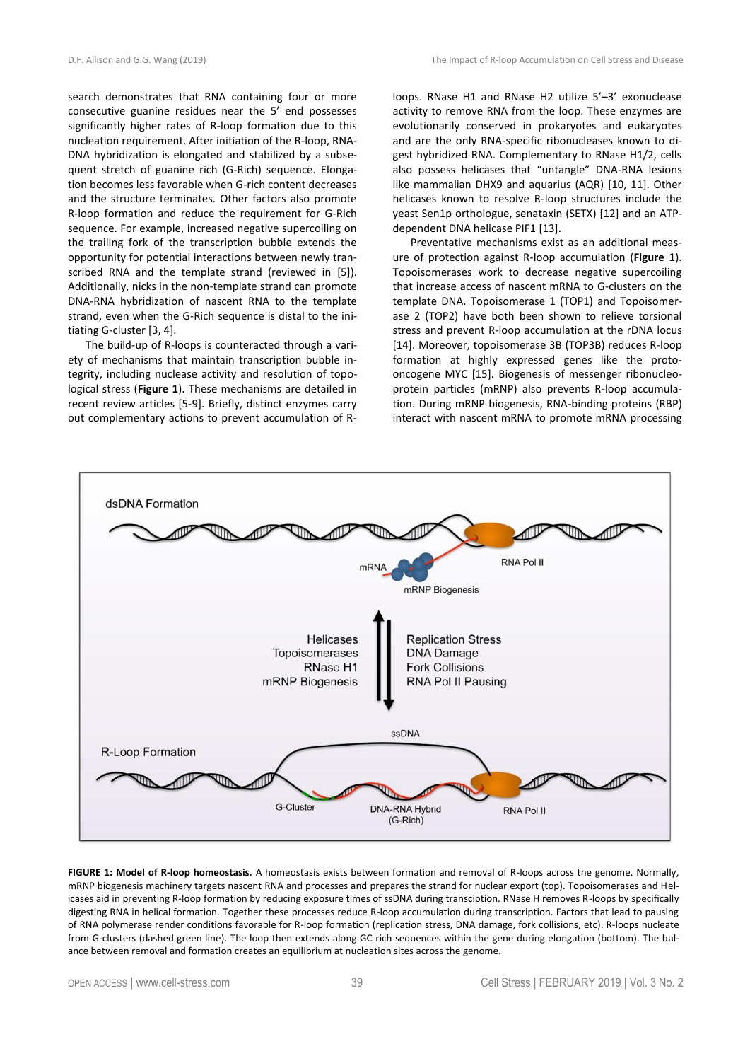search demonstrates that RNA containing four or more consecutive guanine residues near the 5' end possesses significantly higher rates of R-loop formation due to this nucleation requirement. After initiation of the R-loop, RNA-DNA hybridization is elongated and stabilized by a subsequent stretch of guanine rich (G-Rich) sequence. Elongation becomes less favorable when G-rich content decreases and the structure terminates. Other factors also promote R-loop formation and reduce the requirement for G-Rich sequence. For example, increased negative supercoiling on the trailing fork of the transcription bubble extends the opportunity for potential interactions between newly transcribed RNA and the template strand (reviewed in [5]). Additionally, nicks in the non-template strand can promote DNA-RNA hybridization of nascent RNA to the template strand, even when the G-Rich sequence is distal to the initiating G-cluster [3, 4].

The build-up of R-loops is counteracted through a variety of mechanisms that maintain transcription bubble integrity, including nuclease activity and resolution of topological stress (**Figure 1**). These mechanisms are detailed in recent review articles [5-9]. Briefly, distinct enzymes carry out complementary actions to prevent accumulation of R- loops. RNase H1 and RNase H2 utilize 5'–3' exonuclease activity to remove RNA from the loop. These enzymes are evolutionarily conserved in prokaryotes and eukaryotes and are the only RNA-specific ribonucleases known to digest hybridized RNA. Complementary to RNase H1/2, cells also possess helicases that "untangle" DNA-RNA lesions like mammalian DHX9 and aquarius (AQR) [10, 11]. Other helicases known to resolve R-loop structures include the yeast Sen1p orthologue, senataxin (SETX) [12] and an ATPdependent DNA helicase PIF1 [13].

Preventative mechanisms exist as an additional measure of protection against R-loop accumulation (**Figure 1**). Topoisomerases work to decrease negative supercoiling that increase access of nascent mRNA to G-clusters on the template DNA. Topoisomerase 1 (TOP1) and Topoisomerase 2 (TOP2) have both been shown to relieve torsional stress and prevent R-loop accumulation at the rDNA locus [14]. Moreover, topoisomerase 3B (TOP3B) reduces R-loop formation at highly expressed genes like the protooncogene MYC [15]. Biogenesis of messenger ribonucleoprotein particles (mRNP) also prevents R-loop accumulation. During mRNP biogenesis, RNA-binding proteins (RBP) interact with nascent mRNA to promote mRNA processing



**FIGURE 1: Model of R-loop homeostasis.** A homeostasis exists between formation and removal of R-loops across the genome. Normally, mRNP biogenesis machinery targets nascent RNA and processes and prepares the strand for nuclear export (top). Topoisomerases and Helicases aid in preventing R-loop formation by reducing exposure times of ssDNA during transciption. RNase H removes R-loops by specifically digesting RNA in helical formation. Together these processes reduce R-loop accumulation during transcription. Factors that lead to pausing of RNA polymerase render conditions favorable for R-loop formation (replication stress, DNA damage, fork collisions, etc). R-loops nucleate from G-clusters (dashed green line). The loop then extends along GC rich sequences within the gene during elongation (bottom). The balance between removal and formation creates an equilibrium at nucleation sites across the genome.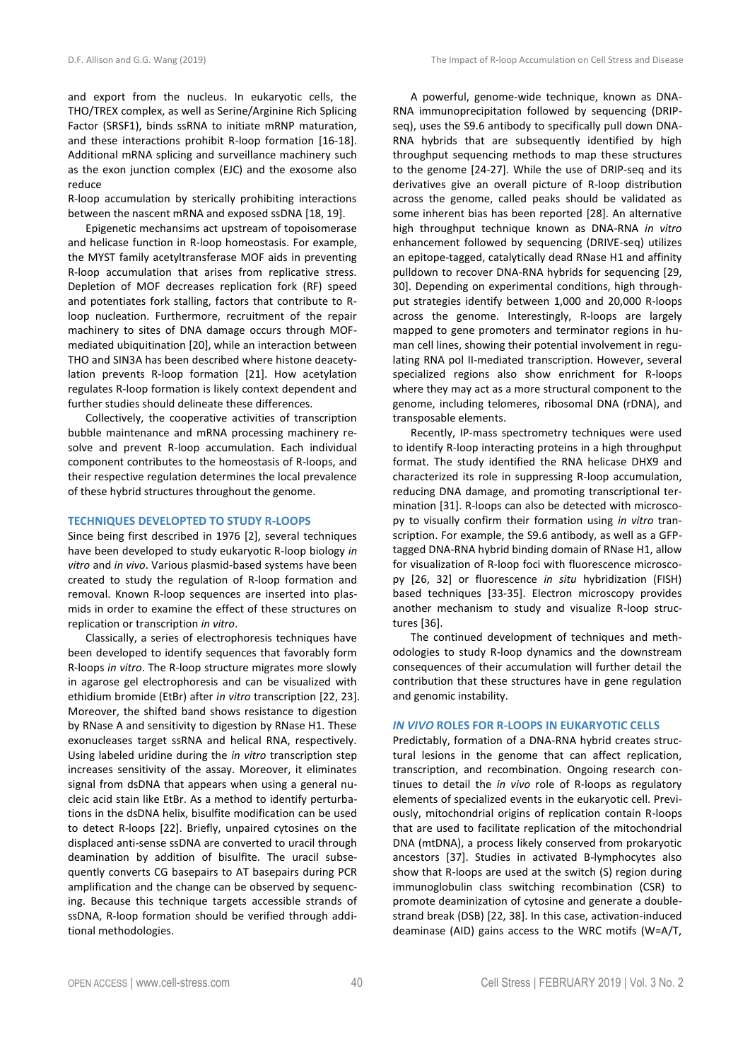and export from the nucleus. In eukaryotic cells, the THO/TREX complex, as well as Serine/Arginine Rich Splicing Factor (SRSF1), binds ssRNA to initiate mRNP maturation, and these interactions prohibit R-loop formation [16-18]. Additional mRNA splicing and surveillance machinery such as the exon junction complex (EJC) and the exosome also reduce

R-loop accumulation by sterically prohibiting interactions between the nascent mRNA and exposed ssDNA [18, 19].

Epigenetic mechansims act upstream of topoisomerase and helicase function in R-loop homeostasis. For example, the MYST family acetyltransferase MOF aids in preventing R-loop accumulation that arises from replicative stress. Depletion of MOF decreases replication fork (RF) speed and potentiates fork stalling, factors that contribute to Rloop nucleation. Furthermore, recruitment of the repair machinery to sites of DNA damage occurs through MOFmediated ubiquitination [20], while an interaction between THO and SIN3A has been described where histone deacetylation prevents R-loop formation [21]. How acetylation regulates R-loop formation is likely context dependent and further studies should delineate these differences.

Collectively, the cooperative activities of transcription bubble maintenance and mRNA processing machinery resolve and prevent R-loop accumulation. Each individual component contributes to the homeostasis of R-loops, and their respective regulation determines the local prevalence of these hybrid structures throughout the genome.

## **TECHNIQUES DEVELOPTED TO STUDY R-LOOPS**

Since being first described in 1976 [2], several techniques have been developed to study eukaryotic R-loop biology *in vitro* and *in vivo*. Various plasmid-based systems have been created to study the regulation of R-loop formation and removal. Known R-loop sequences are inserted into plasmids in order to examine the effect of these structures on replication or transcription *in vitro*.

Classically, a series of electrophoresis techniques have been developed to identify sequences that favorably form R-loops *in vitro*. The R-loop structure migrates more slowly in agarose gel electrophoresis and can be visualized with ethidium bromide (EtBr) after *in vitro* transcription [22, 23]. Moreover, the shifted band shows resistance to digestion by RNase A and sensitivity to digestion by RNase H1. These exonucleases target ssRNA and helical RNA, respectively. Using labeled uridine during the *in vitro* transcription step increases sensitivity of the assay. Moreover, it eliminates signal from dsDNA that appears when using a general nucleic acid stain like EtBr. As a method to identify perturbations in the dsDNA helix, bisulfite modification can be used to detect R-loops [22]. Briefly, unpaired cytosines on the displaced anti-sense ssDNA are converted to uracil through deamination by addition of bisulfite. The uracil subsequently converts CG basepairs to AT basepairs during PCR amplification and the change can be observed by sequencing. Because this technique targets accessible strands of ssDNA, R-loop formation should be verified through additional methodologies.

A powerful, genome-wide technique, known as DNA-RNA immunoprecipitation followed by sequencing (DRIPseq), uses the S9.6 antibody to specifically pull down DNA-RNA hybrids that are subsequently identified by high throughput sequencing methods to map these structures to the genome [24-27]. While the use of DRIP-seq and its derivatives give an overall picture of R-loop distribution across the genome, called peaks should be validated as some inherent bias has been reported [28]. An alternative high throughput technique known as DNA-RNA *in vitro* enhancement followed by sequencing (DRIVE-seq) utilizes an epitope-tagged, catalytically dead RNase H1 and affinity pulldown to recover DNA-RNA hybrids for sequencing [29, 30]. Depending on experimental conditions, high throughput strategies identify between 1,000 and 20,000 R-loops across the genome. Interestingly, R-loops are largely mapped to gene promoters and terminator regions in human cell lines, showing their potential involvement in regulating RNA pol II-mediated transcription. However, several specialized regions also show enrichment for R-loops where they may act as a more structural component to the genome, including telomeres, ribosomal DNA (rDNA), and transposable elements.

Recently, IP-mass spectrometry techniques were used to identify R-loop interacting proteins in a high throughput format. The study identified the RNA helicase DHX9 and characterized its role in suppressing R-loop accumulation, reducing DNA damage, and promoting transcriptional termination [31]. R-loops can also be detected with microscopy to visually confirm their formation using *in vitro* transcription. For example, the S9.6 antibody, as well as a GFPtagged DNA-RNA hybrid binding domain of RNase H1, allow for visualization of R-loop foci with fluorescence microscopy [26, 32] or fluorescence *in situ* hybridization (FISH) based techniques [33-35]. Electron microscopy provides another mechanism to study and visualize R-loop structures [36].

The continued development of techniques and methodologies to study R-loop dynamics and the downstream consequences of their accumulation will further detail the contribution that these structures have in gene regulation and genomic instability.

## *IN VIVO* **ROLES FOR R-LOOPS IN EUKARYOTIC CELLS**

Predictably, formation of a DNA-RNA hybrid creates structural lesions in the genome that can affect replication, transcription, and recombination. Ongoing research continues to detail the *in vivo* role of R-loops as regulatory elements of specialized events in the eukaryotic cell. Previously, mitochondrial origins of replication contain R-loops that are used to facilitate replication of the mitochondrial DNA (mtDNA), a process likely conserved from prokaryotic ancestors [37]. Studies in activated B-lymphocytes also show that R-loops are used at the switch (S) region during immunoglobulin class switching recombination (CSR) to promote deaminization of cytosine and generate a doublestrand break (DSB) [22, 38]. In this case, activation-induced deaminase (AID) gains access to the WRC motifs (W=A/T,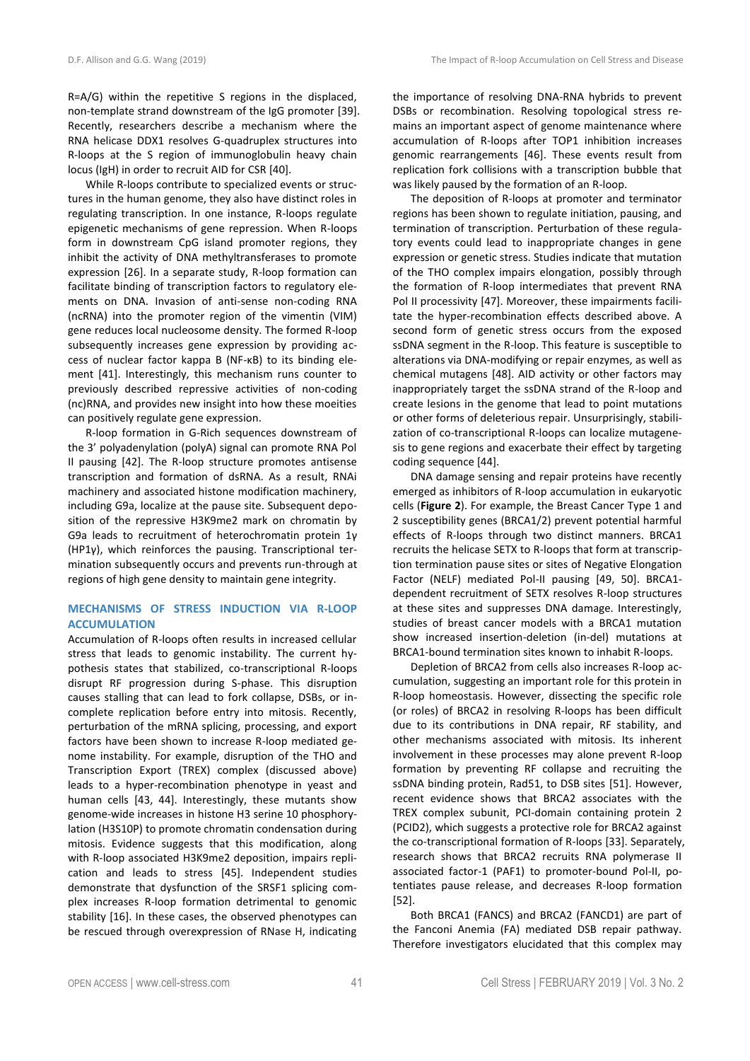R=A/G) within the repetitive S regions in the displaced, non-template strand downstream of the IgG promoter [39]. Recently, researchers describe a mechanism where the RNA helicase DDX1 resolves G-quadruplex structures into R-loops at the S region of immunoglobulin heavy chain locus (IgH) in order to recruit AID for CSR [40].

While R-loops contribute to specialized events or structures in the human genome, they also have distinct roles in regulating transcription. In one instance, R-loops regulate epigenetic mechanisms of gene repression. When R-loops form in downstream CpG island promoter regions, they inhibit the activity of DNA methyltransferases to promote expression [26]. In a separate study, R-loop formation can facilitate binding of transcription factors to regulatory elements on DNA. Invasion of anti-sense non-coding RNA (ncRNA) into the promoter region of the vimentin (VIM) gene reduces local nucleosome density. The formed R-loop subsequently increases gene expression by providing access of nuclear factor kappa B (NF-κB) to its binding element [41]. Interestingly, this mechanism runs counter to previously described repressive activities of non-coding (nc)RNA, and provides new insight into how these moeities can positively regulate gene expression.

R-loop formation in G-Rich sequences downstream of the 3' polyadenylation (polyA) signal can promote RNA Pol II pausing [42]. The R-loop structure promotes antisense transcription and formation of dsRNA. As a result, RNAi machinery and associated histone modification machinery, including G9a, localize at the pause site. Subsequent deposition of the repressive H3K9me2 mark on chromatin by G9a leads to recruitment of heterochromatin protein 1γ (HP1γ), which reinforces the pausing. Transcriptional termination subsequently occurs and prevents run-through at regions of high gene density to maintain gene integrity.

# **MECHANISMS OF STRESS INDUCTION VIA R-LOOP ACCUMULATION**

Accumulation of R-loops often results in increased cellular stress that leads to genomic instability. The current hypothesis states that stabilized, co-transcriptional R-loops disrupt RF progression during S-phase. This disruption causes stalling that can lead to fork collapse, DSBs, or incomplete replication before entry into mitosis. Recently, perturbation of the mRNA splicing, processing, and export factors have been shown to increase R-loop mediated genome instability. For example, disruption of the THO and Transcription Export (TREX) complex (discussed above) leads to a hyper-recombination phenotype in yeast and human cells [43, 44]. Interestingly, these mutants show genome-wide increases in histone H3 serine 10 phosphorylation (H3S10P) to promote chromatin condensation during mitosis. Evidence suggests that this modification, along with R-loop associated H3K9me2 deposition, impairs replication and leads to stress [45]. Independent studies demonstrate that dysfunction of the SRSF1 splicing complex increases R-loop formation detrimental to genomic stability [16]. In these cases, the observed phenotypes can be rescued through overexpression of RNase H, indicating the importance of resolving DNA-RNA hybrids to prevent DSBs or recombination. Resolving topological stress remains an important aspect of genome maintenance where accumulation of R-loops after TOP1 inhibition increases genomic rearrangements [46]. These events result from replication fork collisions with a transcription bubble that was likely paused by the formation of an R-loop.

The deposition of R-loops at promoter and terminator regions has been shown to regulate initiation, pausing, and termination of transcription. Perturbation of these regulatory events could lead to inappropriate changes in gene expression or genetic stress. Studies indicate that mutation of the THO complex impairs elongation, possibly through the formation of R-loop intermediates that prevent RNA Pol II processivity [47]. Moreover, these impairments facilitate the hyper-recombination effects described above. A second form of genetic stress occurs from the exposed ssDNA segment in the R-loop. This feature is susceptible to alterations via DNA-modifying or repair enzymes, as well as chemical mutagens [48]. AID activity or other factors may inappropriately target the ssDNA strand of the R-loop and create lesions in the genome that lead to point mutations or other forms of deleterious repair. Unsurprisingly, stabilization of co-transcriptional R-loops can localize mutagenesis to gene regions and exacerbate their effect by targeting coding sequence [44].

DNA damage sensing and repair proteins have recently emerged as inhibitors of R-loop accumulation in eukaryotic cells (**Figure 2**). For example, the Breast Cancer Type 1 and 2 susceptibility genes (BRCA1/2) prevent potential harmful effects of R-loops through two distinct manners. BRCA1 recruits the helicase SETX to R-loops that form at transcription termination pause sites or sites of Negative Elongation Factor (NELF) mediated Pol-II pausing [49, 50]. BRCA1 dependent recruitment of SETX resolves R-loop structures at these sites and suppresses DNA damage. Interestingly, studies of breast cancer models with a BRCA1 mutation show increased insertion-deletion (in-del) mutations at BRCA1-bound termination sites known to inhabit R-loops.

Depletion of BRCA2 from cells also increases R-loop accumulation, suggesting an important role for this protein in R-loop homeostasis. However, dissecting the specific role (or roles) of BRCA2 in resolving R-loops has been difficult due to its contributions in DNA repair, RF stability, and other mechanisms associated with mitosis. Its inherent involvement in these processes may alone prevent R-loop formation by preventing RF collapse and recruiting the ssDNA binding protein, Rad51, to DSB sites [51]. However, recent evidence shows that BRCA2 associates with the TREX complex subunit, PCI-domain containing protein 2 (PCID2), which suggests a protective role for BRCA2 against the co-transcriptional formation of R-loops [33]. Separately, research shows that BRCA2 recruits RNA polymerase II associated factor-1 (PAF1) to promoter-bound Pol-II, potentiates pause release, and decreases R-loop formation [52].

Both BRCA1 (FANCS) and BRCA2 (FANCD1) are part of the Fanconi Anemia (FA) mediated DSB repair pathway. Therefore investigators elucidated that this complex may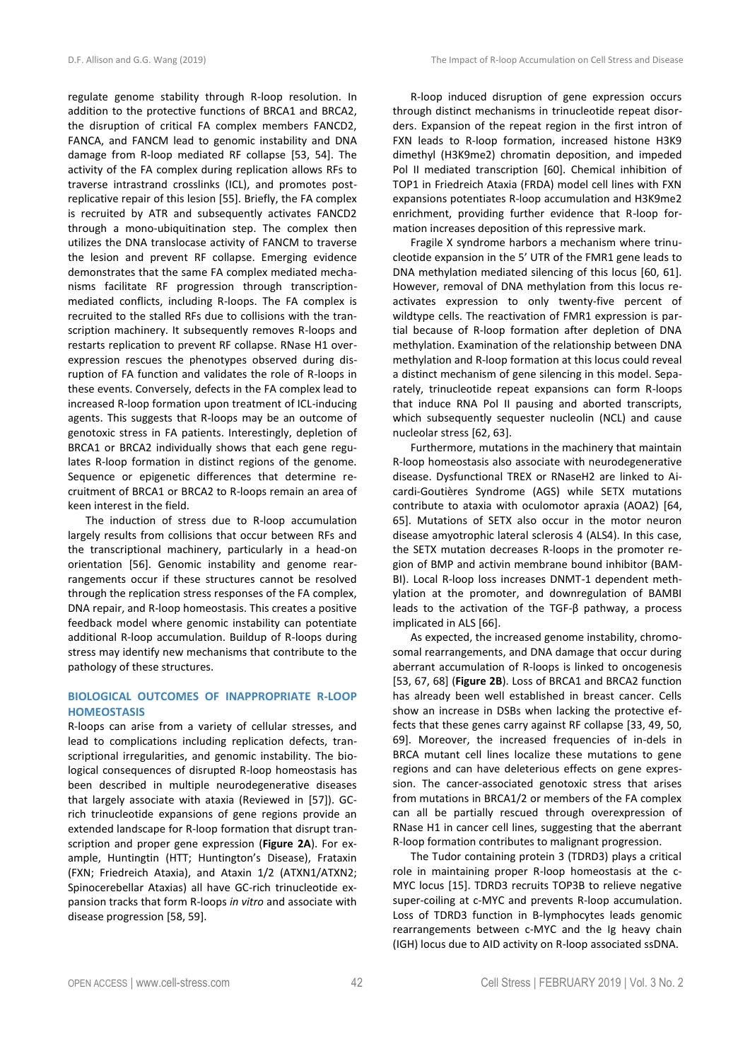regulate genome stability through R-loop resolution. In addition to the protective functions of BRCA1 and BRCA2, the disruption of critical FA complex members FANCD2, FANCA, and FANCM lead to genomic instability and DNA damage from R-loop mediated RF collapse [53, 54]. The activity of the FA complex during replication allows RFs to traverse intrastrand crosslinks (ICL), and promotes postreplicative repair of this lesion [55]. Briefly, the FA complex is recruited by ATR and subsequently activates FANCD2 through a mono-ubiquitination step. The complex then utilizes the DNA translocase activity of FANCM to traverse the lesion and prevent RF collapse. Emerging evidence demonstrates that the same FA complex mediated mechanisms facilitate RF progression through transcriptionmediated conflicts, including R-loops. The FA complex is recruited to the stalled RFs due to collisions with the transcription machinery. It subsequently removes R-loops and restarts replication to prevent RF collapse. RNase H1 overexpression rescues the phenotypes observed during disruption of FA function and validates the role of R-loops in these events. Conversely, defects in the FA complex lead to increased R-loop formation upon treatment of ICL-inducing agents. This suggests that R-loops may be an outcome of genotoxic stress in FA patients. Interestingly, depletion of BRCA1 or BRCA2 individually shows that each gene regulates R-loop formation in distinct regions of the genome. Sequence or epigenetic differences that determine recruitment of BRCA1 or BRCA2 to R-loops remain an area of keen interest in the field.

The induction of stress due to R-loop accumulation largely results from collisions that occur between RFs and the transcriptional machinery, particularly in a head-on orientation [56]. Genomic instability and genome rearrangements occur if these structures cannot be resolved through the replication stress responses of the FA complex, DNA repair, and R-loop homeostasis. This creates a positive feedback model where genomic instability can potentiate additional R-loop accumulation. Buildup of R-loops during stress may identify new mechanisms that contribute to the pathology of these structures.

# **BIOLOGICAL OUTCOMES OF INAPPROPRIATE R-LOOP HOMEOSTASIS**

R-loops can arise from a variety of cellular stresses, and lead to complications including replication defects, transcriptional irregularities, and genomic instability. The biological consequences of disrupted R-loop homeostasis has been described in multiple neurodegenerative diseases that largely associate with ataxia (Reviewed in [57]). GCrich trinucleotide expansions of gene regions provide an extended landscape for R-loop formation that disrupt transcription and proper gene expression (**Figure 2A**). For example, Huntingtin (HTT; Huntington's Disease), Frataxin (FXN; Friedreich Ataxia), and Ataxin 1/2 (ATXN1/ATXN2; Spinocerebellar Ataxias) all have GC-rich trinucleotide expansion tracks that form R-loops *in vitro* and associate with disease progression [58, 59].

R-loop induced disruption of gene expression occurs through distinct mechanisms in trinucleotide repeat disorders. Expansion of the repeat region in the first intron of FXN leads to R-loop formation, increased histone H3K9 dimethyl (H3K9me2) chromatin deposition, and impeded Pol II mediated transcription [60]. Chemical inhibition of TOP1 in Friedreich Ataxia (FRDA) model cell lines with FXN expansions potentiates R-loop accumulation and H3K9me2 enrichment, providing further evidence that R-loop formation increases deposition of this repressive mark.

Fragile X syndrome harbors a mechanism where trinucleotide expansion in the 5' UTR of the FMR1 gene leads to DNA methylation mediated silencing of this locus [60, 61]. However, removal of DNA methylation from this locus reactivates expression to only twenty-five percent of wildtype cells. The reactivation of FMR1 expression is partial because of R-loop formation after depletion of DNA methylation. Examination of the relationship between DNA methylation and R-loop formation at this locus could reveal a distinct mechanism of gene silencing in this model. Separately, trinucleotide repeat expansions can form R-loops that induce RNA Pol II pausing and aborted transcripts, which subsequently sequester nucleolin (NCL) and cause nucleolar stress [62, 63].

Furthermore, mutations in the machinery that maintain R-loop homeostasis also associate with neurodegenerative disease. Dysfunctional TREX or RNaseH2 are linked to Aicardi-Goutières Syndrome (AGS) while SETX mutations contribute to ataxia with oculomotor apraxia (AOA2) [64, 65]. Mutations of SETX also occur in the motor neuron disease amyotrophic lateral sclerosis 4 (ALS4). In this case, the SETX mutation decreases R-loops in the promoter region of BMP and activin membrane bound inhibitor (BAM-BI). Local R-loop loss increases DNMT-1 dependent methylation at the promoter, and downregulation of BAMBI leads to the activation of the TGF-β pathway, a process implicated in ALS [66].

As expected, the increased genome instability, chromosomal rearrangements, and DNA damage that occur during aberrant accumulation of R-loops is linked to oncogenesis [53, 67, 68] (**Figure 2B**). Loss of BRCA1 and BRCA2 function has already been well established in breast cancer. Cells show an increase in DSBs when lacking the protective effects that these genes carry against RF collapse [33, 49, 50, 69]. Moreover, the increased frequencies of in-dels in BRCA mutant cell lines localize these mutations to gene regions and can have deleterious effects on gene expression. The cancer-associated genotoxic stress that arises from mutations in BRCA1/2 or members of the FA complex can all be partially rescued through overexpression of RNase H1 in cancer cell lines, suggesting that the aberrant R-loop formation contributes to malignant progression.

The Tudor containing protein 3 (TDRD3) plays a critical role in maintaining proper R-loop homeostasis at the c-MYC locus [15]. TDRD3 recruits TOP3B to relieve negative super-coiling at c-MYC and prevents R-loop accumulation. Loss of TDRD3 function in B-lymphocytes leads genomic rearrangements between c-MYC and the Ig heavy chain (IGH) locus due to AID activity on R-loop associated ssDNA.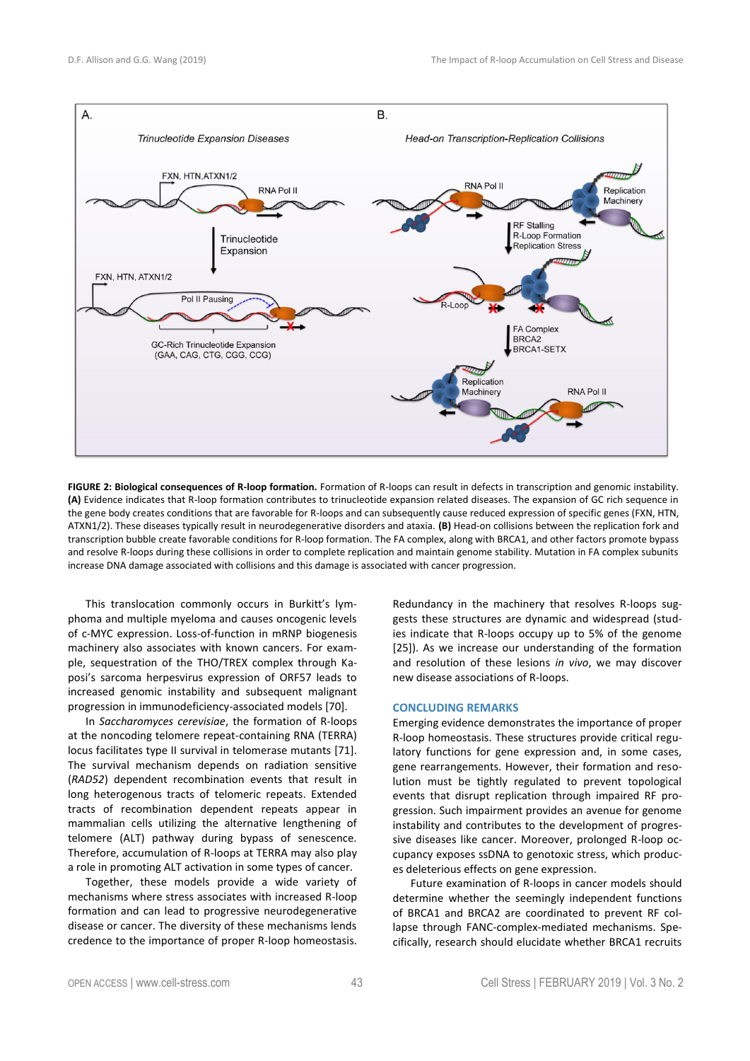

**FIGURE 2: Biological consequences of R-loop formation.** Formation of R-loops can result in defects in transcription and genomic instability. **(A)** Evidence indicates that R-loop formation contributes to trinucleotide expansion related diseases. The expansion of GC rich sequence in the gene body creates conditions that are favorable for R-loops and can subsequently cause reduced expression of specific genes (FXN, HTN, ATXN1/2). These diseases typically result in neurodegenerative disorders and ataxia. **(B)** Head-on collisions between the replication fork and transcription bubble create favorable conditions for R-loop formation. The FA complex, along with BRCA1, and other factors promote bypass and resolve R-loops during these collisions in order to complete replication and maintain genome stability. Mutation in FA complex subunits increase DNA damage associated with collisions and this damage is associated with cancer progression.

This translocation commonly occurs in Burkitt's lymphoma and multiple myeloma and causes oncogenic levels of c-MYC expression. Loss-of-function in mRNP biogenesis machinery also associates with known cancers. For example, sequestration of the THO/TREX complex through Kaposi's sarcoma herpesvirus expression of ORF57 leads to increased genomic instability and subsequent malignant progression in immunodeficiency-associated models [70].

In *Saccharomyces cerevisiae*, the formation of R-loops at the noncoding telomere repeat-containing RNA (TERRA) locus facilitates type II survival in telomerase mutants [71]. The survival mechanism depends on radiation sensitive (*RAD52*) dependent recombination events that result in long heterogenous tracts of telomeric repeats. Extended tracts of recombination dependent repeats appear in mammalian cells utilizing the alternative lengthening of telomere (ALT) pathway during bypass of senescence. Therefore, accumulation of R-loops at TERRA may also play a role in promoting ALT activation in some types of cancer.

Together, these models provide a wide variety of mechanisms where stress associates with increased R-loop formation and can lead to progressive neurodegenerative disease or cancer. The diversity of these mechanisms lends credence to the importance of proper R-loop homeostasis.

Redundancy in the machinery that resolves R-loops suggests these structures are dynamic and widespread (studies indicate that R-loops occupy up to 5% of the genome [25]). As we increase our understanding of the formation and resolution of these lesions *in vivo*, we may discover new disease associations of R-loops.

# **CONCLUDING REMARKS**

Emerging evidence demonstrates the importance of proper R-loop homeostasis. These structures provide critical regulatory functions for gene expression and, in some cases, gene rearrangements. However, their formation and resolution must be tightly regulated to prevent topological events that disrupt replication through impaired RF progression. Such impairment provides an avenue for genome instability and contributes to the development of progressive diseases like cancer. Moreover, prolonged R-loop occupancy exposes ssDNA to genotoxic stress, which produces deleterious effects on gene expression.

Future examination of R-loops in cancer models should determine whether the seemingly independent functions of BRCA1 and BRCA2 are coordinated to prevent RF collapse through FANC-complex-mediated mechanisms. Specifically, research should elucidate whether BRCA1 recruits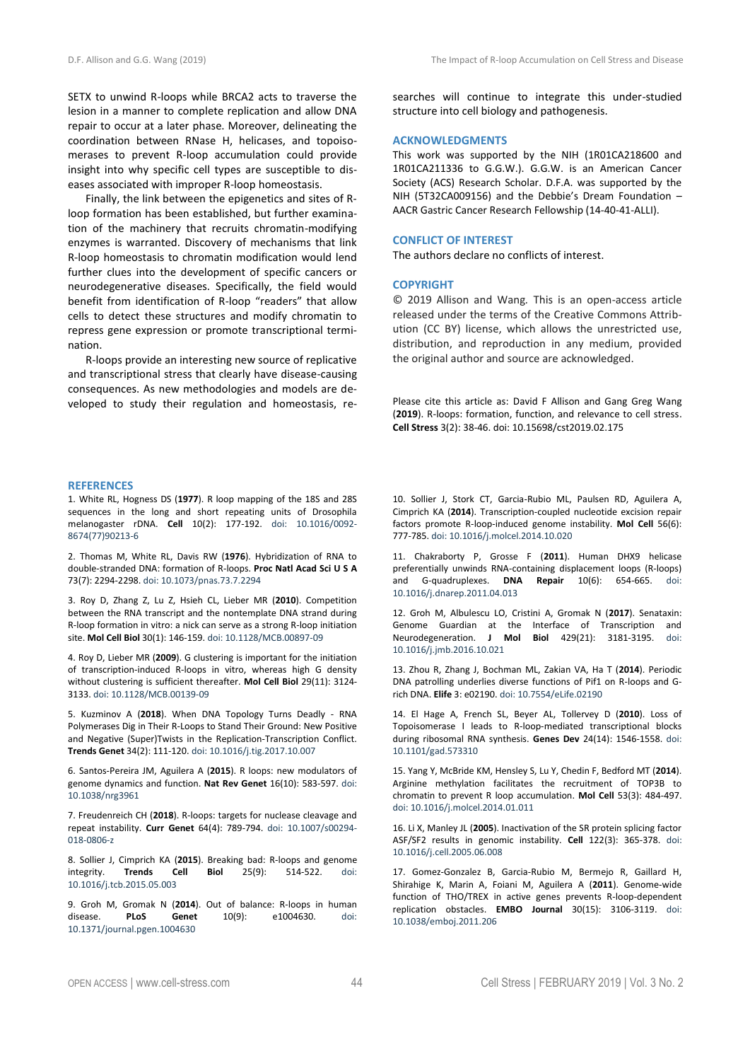SETX to unwind R-loops while BRCA2 acts to traverse the lesion in a manner to complete replication and allow DNA repair to occur at a later phase. Moreover, delineating the coordination between RNase H, helicases, and topoisomerases to prevent R-loop accumulation could provide insight into why specific cell types are susceptible to diseases associated with improper R-loop homeostasis.

Finally, the link between the epigenetics and sites of Rloop formation has been established, but further examination of the machinery that recruits chromatin-modifying enzymes is warranted. Discovery of mechanisms that link R-loop homeostasis to chromatin modification would lend further clues into the development of specific cancers or neurodegenerative diseases. Specifically, the field would benefit from identification of R-loop "readers" that allow cells to detect these structures and modify chromatin to repress gene expression or promote transcriptional termination.

R-loops provide an interesting new source of replicative and transcriptional stress that clearly have disease-causing consequences. As new methodologies and models are developed to study their regulation and homeostasis, re-

#### **REFERENCES**

1. White RL, Hogness DS (**1977**). R loop mapping of the 18S and 28S sequences in the long and short repeating units of Drosophila melanogaster rDNA. **Cell** 10(2): 177-192. doi: 10.1016/0092- 8674(77)90213-6

2. Thomas M, White RL, Davis RW (**1976**). Hybridization of RNA to double-stranded DNA: formation of R-loops. **Proc Natl Acad Sci U S A** 73(7): 2294-2298. doi: 10.1073/pnas.73.7.2294

3. Roy D, Zhang Z, Lu Z, Hsieh CL, Lieber MR (**2010**). Competition between the RNA transcript and the nontemplate DNA strand during R-loop formation in vitro: a nick can serve as a strong R-loop initiation site. **Mol Cell Biol** 30(1): 146-159. doi: 10.1128/MCB.00897-09

4. Roy D, Lieber MR (**2009**). G clustering is important for the initiation of transcription-induced R-loops in vitro, whereas high G density without clustering is sufficient thereafter. **Mol Cell Biol** 29(11): 3124- 3133. doi: 10.1128/MCB.00139-09

5. Kuzminov A (**2018**). When DNA Topology Turns Deadly - RNA Polymerases Dig in Their R-Loops to Stand Their Ground: New Positive and Negative (Super)Twists in the Replication-Transcription Conflict. **Trends Genet** 34(2): 111-120. doi: 10.1016/j.tig.2017.10.007

6. Santos-Pereira JM, Aguilera A (**2015**). R loops: new modulators of genome dynamics and function. **Nat Rev Genet** 16(10): 583-597. doi: 10.1038/nrg3961

7. Freudenreich CH (**2018**). R-loops: targets for nuclease cleavage and repeat instability. **Curr Genet** 64(4): 789-794. doi: 10.1007/s00294- 018-0806-z

8. Sollier J, Cimprich KA (**2015**). Breaking bad: R-loops and genome integrity. **Trends Cell Biol** 25(9): 514-522. doi: 10.1016/j.tcb.2015.05.003

9. Groh M, Gromak N (**2014**). Out of balance: R-loops in human disease. **PLoS Genet** 10(9): e1004630. doi: 10.1371/journal.pgen.1004630

searches will continue to integrate this under-studied structure into cell biology and pathogenesis.

#### **ACKNOWLEDGMENTS**

This work was supported by the NIH (1R01CA218600 and 1R01CA211336 to G.G.W.). G.G.W. is an American Cancer Society (ACS) Research Scholar. D.F.A. was supported by the NIH (5T32CA009156) and the Debbie's Dream Foundation – AACR Gastric Cancer Research Fellowship (14-40-41-ALLI).

## **CONFLICT OF INTEREST**

The authors declare no conflicts of interest.

# **COPYRIGHT**

© 2019 Allison and Wang*.* This is an open-access article released under the terms of the Creative Commons Attribution (CC BY) license, which allows the unrestricted use, distribution, and reproduction in any medium, provided the original author and source are acknowledged.

Please cite this article as: David F Allison and Gang Greg Wang (**2019**). R-loops: formation, function, and relevance to cell stress. **Cell Stress** 3(2): 38-46. doi: 10.15698/cst2019.02.175

10. Sollier J, Stork CT, Garcia-Rubio ML, Paulsen RD, Aguilera A, Cimprich KA (**2014**). Transcription-coupled nucleotide excision repair factors promote R-loop-induced genome instability. **Mol Cell** 56(6): 777-785. doi: 10.1016/j.molcel.2014.10.020

11. Chakraborty P, Grosse F (**2011**). Human DHX9 helicase preferentially unwinds RNA-containing displacement loops (R-loops) and G-quadruplexes. **DNA Repair** 10(6): 654-665. doi: 10.1016/j.dnarep.2011.04.013

12. Groh M, Albulescu LO, Cristini A, Gromak N (**2017**). Senataxin: Genome Guardian at the Interface of Transcription and Neurodegeneration. **J Mol Biol** 429(21): 3181-3195. doi: 10.1016/j.jmb.2016.10.021

13. Zhou R, Zhang J, Bochman ML, Zakian VA, Ha T (**2014**). Periodic DNA patrolling underlies diverse functions of Pif1 on R-loops and Grich DNA. **Elife** 3: e02190. doi: 10.7554/eLife.02190

14. El Hage A, French SL, Beyer AL, Tollervey D (**2010**). Loss of Topoisomerase I leads to R-loop-mediated transcriptional blocks during ribosomal RNA synthesis. **Genes Dev** 24(14): 1546-1558. doi: 10.1101/gad.573310

15. Yang Y, McBride KM, Hensley S, Lu Y, Chedin F, Bedford MT (**2014**). Arginine methylation facilitates the recruitment of TOP3B to chromatin to prevent R loop accumulation. **Mol Cell** 53(3): 484-497. doi: 10.1016/j.molcel.2014.01.011

16. Li X, Manley JL (**2005**). Inactivation of the SR protein splicing factor ASF/SF2 results in genomic instability. **Cell** 122(3): 365-378. doi: 10.1016/j.cell.2005.06.008

17. Gomez-Gonzalez B, Garcia-Rubio M, Bermejo R, Gaillard H, Shirahige K, Marin A, Foiani M, Aguilera A (**2011**). Genome-wide function of THO/TREX in active genes prevents R-loop-dependent replication obstacles. **EMBO Journal** 30(15): 3106-3119. doi: 10.1038/emboj.2011.206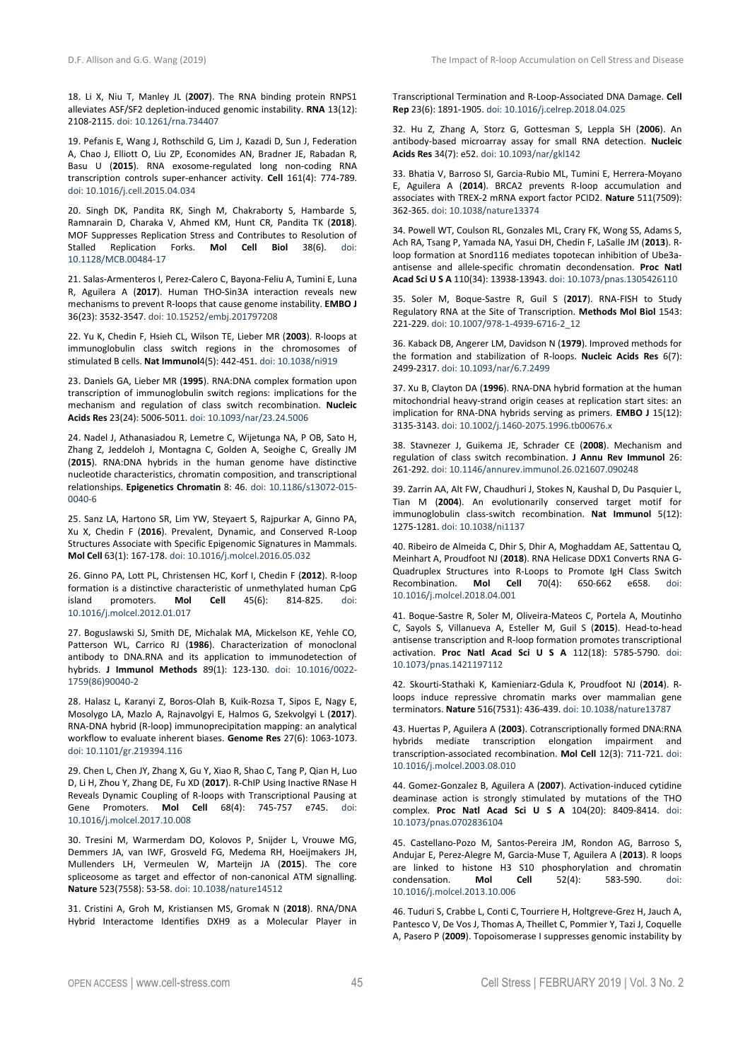18. Li X, Niu T, Manley JL (**2007**). The RNA binding protein RNPS1 alleviates ASF/SF2 depletion-induced genomic instability. **RNA** 13(12): 2108-2115. doi: 10.1261/rna.734407

19. Pefanis E, Wang J, Rothschild G, Lim J, Kazadi D, Sun J, Federation A, Chao J, Elliott O, Liu ZP, Economides AN, Bradner JE, Rabadan R, Basu U (**2015**). RNA exosome-regulated long non-coding RNA transcription controls super-enhancer activity. **Cell** 161(4): 774-789. doi: 10.1016/j.cell.2015.04.034

20. Singh DK, Pandita RK, Singh M, Chakraborty S, Hambarde S, Ramnarain D, Charaka V, Ahmed KM, Hunt CR, Pandita TK (**2018**). MOF Suppresses Replication Stress and Contributes to Resolution of<br>Stalled Replication Forks **Mol Cell Biol** 38(6) doi: Stalled Replication Forks. Mol Cell Biol 38(6). 10.1128/MCB.00484-17

21. Salas-Armenteros I, Perez-Calero C, Bayona-Feliu A, Tumini E, Luna R, Aguilera A (**2017**). Human THO-Sin3A interaction reveals new mechanisms to prevent R-loops that cause genome instability. **EMBO J** 36(23): 3532-3547. doi: 10.15252/embj.201797208

22. Yu K, Chedin F, Hsieh CL, Wilson TE, Lieber MR (**2003**). R-loops at immunoglobulin class switch regions in the chromosomes of stimulated B cells. **Nat Immunol**4(5): 442-451. doi: 10.1038/ni919

23. Daniels GA, Lieber MR (**1995**). RNA:DNA complex formation upon transcription of immunoglobulin switch regions: implications for the mechanism and regulation of class switch recombination. **Nucleic Acids Res** 23(24): 5006-5011. doi: 10.1093/nar/23.24.5006

24. Nadel J, Athanasiadou R, Lemetre C, Wijetunga NA, P OB, Sato H, Zhang Z, Jeddeloh J, Montagna C, Golden A, Seoighe C, Greally JM (**2015**). RNA:DNA hybrids in the human genome have distinctive nucleotide characteristics, chromatin composition, and transcriptional relationships. **Epigenetics Chromatin** 8: 46. doi: 10.1186/s13072-015- 0040-6

25. Sanz LA, Hartono SR, Lim YW, Steyaert S, Rajpurkar A, Ginno PA, Xu X, Chedin F (**2016**). Prevalent, Dynamic, and Conserved R-Loop Structures Associate with Specific Epigenomic Signatures in Mammals. **Mol Cell** 63(1): 167-178. doi: 10.1016/j.molcel.2016.05.032

26. Ginno PA, Lott PL, Christensen HC, Korf I, Chedin F (**2012**). R-loop formation is a distinctive characteristic of unmethylated human CpG<br>island promoters. **Mol Cell** 45(6): 814-825. doi: promoters. **Mol Cell** 45(6): 814-825. doi: 10.1016/j.molcel.2012.01.017

27. Boguslawski SJ, Smith DE, Michalak MA, Mickelson KE, Yehle CO, Patterson WL, Carrico RJ (**1986**). Characterization of monoclonal antibody to DNA.RNA and its application to immunodetection of hybrids. **J Immunol Methods** 89(1): 123-130. doi: 10.1016/0022- 1759(86)90040-2

28. Halasz L, Karanyi Z, Boros-Olah B, Kuik-Rozsa T, Sipos E, Nagy E, Mosolygo LA, Mazlo A, Rajnavolgyi E, Halmos G, Szekvolgyi L (**2017**). RNA-DNA hybrid (R-loop) immunoprecipitation mapping: an analytical workflow to evaluate inherent biases. **Genome Res** 27(6): 1063-1073. doi: 10.1101/gr.219394.116

29. Chen L, Chen JY, Zhang X, Gu Y, Xiao R, Shao C, Tang P, Qian H, Luo D, Li H, Zhou Y, Zhang DE, Fu XD (**2017**). R-ChIP Using Inactive RNase H Reveals Dynamic Coupling of R-loops with Transcriptional Pausing at Gene Promoters. **Mol Cell** 68(4): 745-757 e745. doi: 10.1016/j.molcel.2017.10.008

30. Tresini M, Warmerdam DO, Kolovos P, Snijder L, Vrouwe MG, Demmers JA, van IWF, Grosveld FG, Medema RH, Hoeijmakers JH, Mullenders LH, Vermeulen W, Marteijn JA (**2015**). The core spliceosome as target and effector of non-canonical ATM signalling. **Nature** 523(7558): 53-58. doi: 10.1038/nature14512

31. Cristini A, Groh M, Kristiansen MS, Gromak N (**2018**). RNA/DNA Hybrid Interactome Identifies DXH9 as a Molecular Player in

Transcriptional Termination and R-Loop-Associated DNA Damage. **Cell Rep** 23(6): 1891-1905. doi: 10.1016/j.celrep.2018.04.025

32. Hu Z, Zhang A, Storz G, Gottesman S, Leppla SH (**2006**). An antibody-based microarray assay for small RNA detection. **Nucleic Acids Res** 34(7): e52. doi: 10.1093/nar/gkl142

33. Bhatia V, Barroso SI, Garcia-Rubio ML, Tumini E, Herrera-Moyano E, Aguilera A (**2014**). BRCA2 prevents R-loop accumulation and associates with TREX-2 mRNA export factor PCID2. **Nature** 511(7509): 362-365. doi: 10.1038/nature13374

34. Powell WT, Coulson RL, Gonzales ML, Crary FK, Wong SS, Adams S, Ach RA, Tsang P, Yamada NA, Yasui DH, Chedin F, LaSalle JM (**2013**). Rloop formation at Snord116 mediates topotecan inhibition of Ube3aantisense and allele-specific chromatin decondensation. **Proc Natl Acad Sci U S A** 110(34): 13938-13943. doi: 10.1073/pnas.1305426110

35. Soler M, Boque-Sastre R, Guil S (**2017**). RNA-FISH to Study Regulatory RNA at the Site of Transcription. **Methods Mol Biol** 1543: 221-229. doi: 10.1007/978-1-4939-6716-2\_12

36. Kaback DB, Angerer LM, Davidson N (**1979**). Improved methods for the formation and stabilization of R-loops. **Nucleic Acids Res** 6(7): 2499-2317. doi: 10.1093/nar/6.7.2499

37. Xu B, Clayton DA (**1996**). RNA-DNA hybrid formation at the human mitochondrial heavy-strand origin ceases at replication start sites: an implication for RNA-DNA hybrids serving as primers. **EMBO J** 15(12): 3135-3143. doi: 10.1002/j.1460-2075.1996.tb00676.x

38. Stavnezer J, Guikema JE, Schrader CE (**2008**). Mechanism and regulation of class switch recombination. **J Annu Rev Immunol** 26: 261-292. doi: 10.1146/annurev.immunol.26.021607.090248

39. Zarrin AA, Alt FW, Chaudhuri J, Stokes N, Kaushal D, Du Pasquier L, Tian M (**2004**). An evolutionarily conserved target motif for immunoglobulin class-switch recombination. **Nat Immunol** 5(12): 1275-1281. doi: 10.1038/ni1137

40. Ribeiro de Almeida C, Dhir S, Dhir A, Moghaddam AE, Sattentau Q, Meinhart A, Proudfoot NJ (**2018**). RNA Helicase DDX1 Converts RNA G-Quadruplex Structures into R-Loops to Promote IgH Class Switch<br>Recombination. Mol Cell 70(4): 650-662 e658. doi: Recombination. **Mol Cell** 10.1016/j.molcel.2018.04.001

41. Boque-Sastre R, Soler M, Oliveira-Mateos C, Portela A, Moutinho C, Sayols S, Villanueva A, Esteller M, Guil S (**2015**). Head-to-head antisense transcription and R-loop formation promotes transcriptional activation. **Proc Natl Acad Sci U S A** 112(18): 5785-5790. doi: 10.1073/pnas.1421197112

42. Skourti-Stathaki K, Kamieniarz-Gdula K, Proudfoot NJ (**2014**). Rloops induce repressive chromatin marks over mammalian gene terminators. **Nature** 516(7531): 436-439. doi: 10.1038/nature13787

43. Huertas P, Aguilera A (**2003**). Cotranscriptionally formed DNA:RNA hybrids mediate transcription elongation impairment and transcription-associated recombination. **Mol Cell** 12(3): 711-721. doi: 10.1016/j.molcel.2003.08.010

44. Gomez-Gonzalez B, Aguilera A (**2007**). Activation-induced cytidine deaminase action is strongly stimulated by mutations of the THO complex. **Proc Natl Acad Sci U S A** 104(20): 8409-8414. doi: 10.1073/pnas.0702836104

45. Castellano-Pozo M, Santos-Pereira JM, Rondon AG, Barroso S, Andujar E, Perez-Alegre M, Garcia-Muse T, Aguilera A (**2013**). R loops are linked to histone H3 S10 phosphorylation and chromatin condensation. **Mol Cell** 52(4): 583-590. doi: 10.1016/j.molcel.2013.10.006

46. Tuduri S, Crabbe L, Conti C, Tourriere H, Holtgreve-Grez H, Jauch A, Pantesco V, De Vos J, Thomas A, Theillet C, Pommier Y, Tazi J, Coquelle A, Pasero P (**2009**). Topoisomerase I suppresses genomic instability by